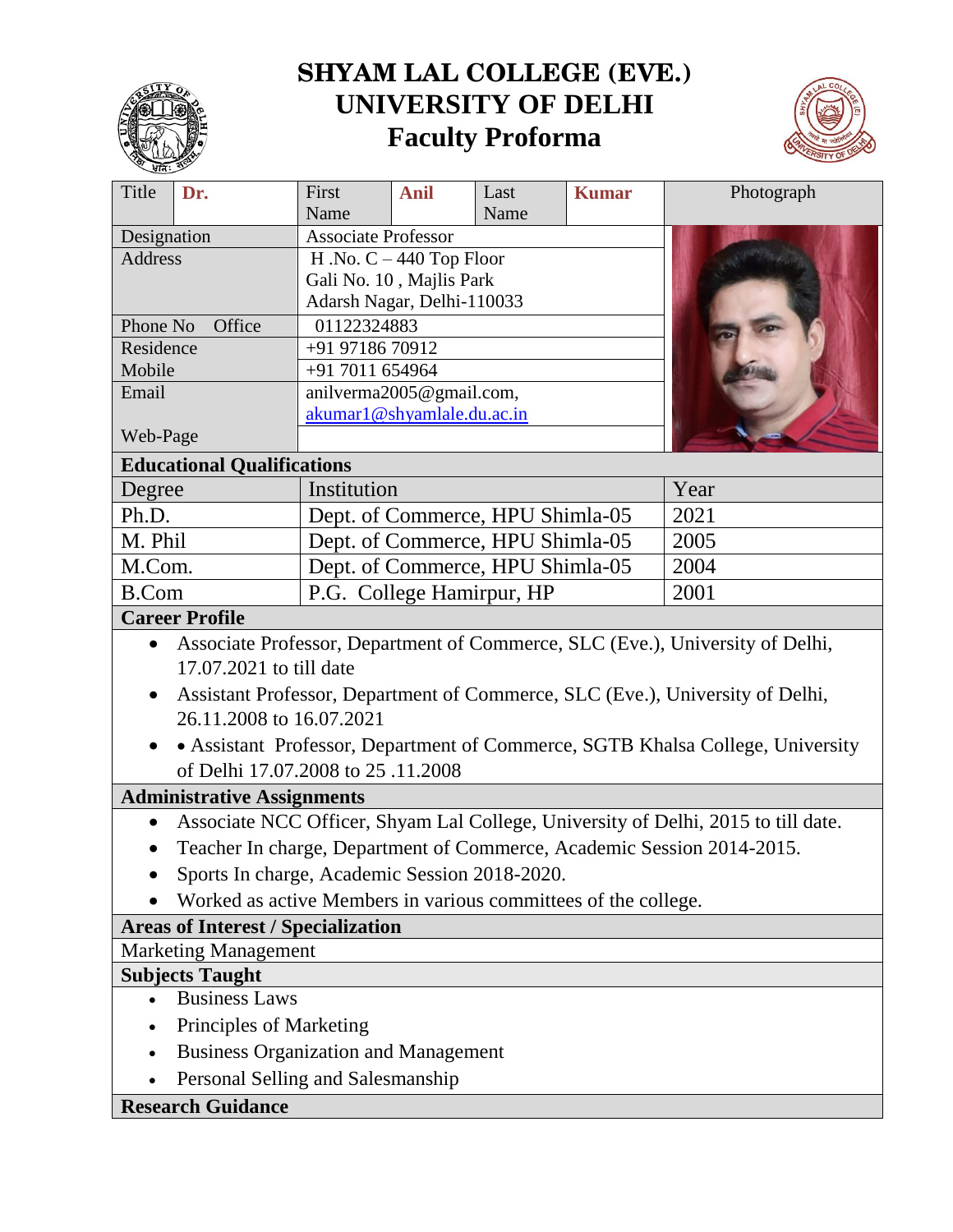

# **SHYAM LAL COLLEGE (EVE.) UNIVERSITY OF DELHI Faculty Proforma**



| Title<br>Dr.                                                                                   | First                                                  | <b>Anil</b> | Last | <b>Kumar</b> | Photograph |
|------------------------------------------------------------------------------------------------|--------------------------------------------------------|-------------|------|--------------|------------|
|                                                                                                | Name<br>Name                                           |             |      |              |            |
| Designation                                                                                    | <b>Associate Professor</b>                             |             |      |              |            |
| <b>Address</b>                                                                                 | H .No. $C - 440$ Top Floor                             |             |      |              |            |
|                                                                                                | Gali No. 10, Majlis Park<br>Adarsh Nagar, Delhi-110033 |             |      |              |            |
| Phone No<br>Office                                                                             | 01122324883                                            |             |      |              |            |
| Residence                                                                                      | +91 97186 70912                                        |             |      |              |            |
| Mobile                                                                                         | +91 7011 654964                                        |             |      |              |            |
| Email                                                                                          | anilverma2005@gmail.com,                               |             |      |              |            |
|                                                                                                | akumar1@shyamlale.du.ac.in                             |             |      |              |            |
| Web-Page                                                                                       |                                                        |             |      |              |            |
| <b>Educational Qualifications</b>                                                              |                                                        |             |      |              |            |
| Degree                                                                                         | Institution                                            |             |      | Year         |            |
| Ph.D.                                                                                          | Dept. of Commerce, HPU Shimla-05                       |             |      | 2021         |            |
| M. Phil                                                                                        | Dept. of Commerce, HPU Shimla-05                       |             |      | 2005         |            |
| M.Com.                                                                                         | Dept. of Commerce, HPU Shimla-05                       |             |      | 2004         |            |
| <b>B.Com</b>                                                                                   | P.G. College Hamirpur, HP                              |             |      |              | 2001       |
| <b>Career Profile</b>                                                                          |                                                        |             |      |              |            |
| Associate Professor, Department of Commerce, SLC (Eve.), University of Delhi,<br>$\bullet$     |                                                        |             |      |              |            |
| 17.07.2021 to till date                                                                        |                                                        |             |      |              |            |
| Assistant Professor, Department of Commerce, SLC (Eve.), University of Delhi,                  |                                                        |             |      |              |            |
| 26.11.2008 to 16.07.2021                                                                       |                                                        |             |      |              |            |
| • Assistant Professor, Department of Commerce, SGTB Khalsa College, University                 |                                                        |             |      |              |            |
| of Delhi 17.07.2008 to 25 .11.2008                                                             |                                                        |             |      |              |            |
| <b>Administrative Assignments</b>                                                              |                                                        |             |      |              |            |
| Associate NCC Officer, Shyam Lal College, University of Delhi, 2015 to till date.<br>$\bullet$ |                                                        |             |      |              |            |
| Teacher In charge, Department of Commerce, Academic Session 2014-2015.                         |                                                        |             |      |              |            |
| Sports In charge, Academic Session 2018-2020.                                                  |                                                        |             |      |              |            |
| Worked as active Members in various committees of the college.                                 |                                                        |             |      |              |            |
| <b>Areas of Interest / Specialization</b>                                                      |                                                        |             |      |              |            |
| <b>Marketing Management</b>                                                                    |                                                        |             |      |              |            |
| <b>Subjects Taught</b>                                                                         |                                                        |             |      |              |            |
| <b>Business Laws</b>                                                                           |                                                        |             |      |              |            |
| Principles of Marketing                                                                        |                                                        |             |      |              |            |
| <b>Business Organization and Management</b>                                                    |                                                        |             |      |              |            |
| Personal Selling and Salesmanship                                                              |                                                        |             |      |              |            |
| <b>Research Guidance</b>                                                                       |                                                        |             |      |              |            |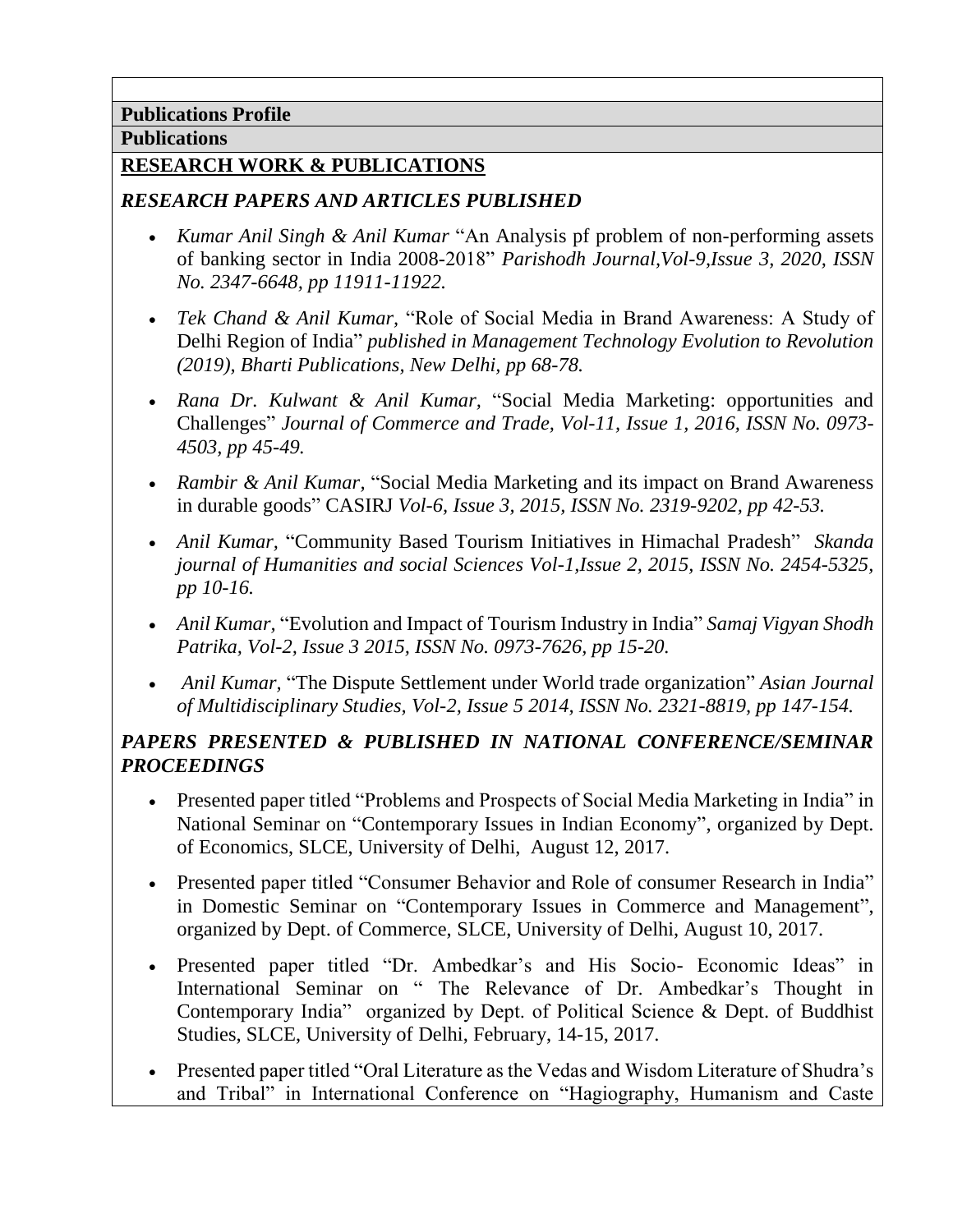# **Publications Profile**

## **Publications**

## **RESEARCH WORK & PUBLICATIONS**

## *RESEARCH PAPERS AND ARTICLES PUBLISHED*

- *Kumar Anil Singh & Anil Kumar* "An Analysis pf problem of non-performing assets of banking sector in India 2008-2018" *Parishodh Journal,Vol-9,Issue 3, 2020, ISSN No. 2347-6648, pp 11911-11922.*
- *Tek Chand & Anil Kumar,* "Role of Social Media in Brand Awareness: A Study of Delhi Region of India" *published in Management Technology Evolution to Revolution (2019), Bharti Publications, New Delhi, pp 68-78.*
- *Rana Dr. Kulwant & Anil Kumar,* "Social Media Marketing: opportunities and Challenges" *Journal of Commerce and Trade, Vol-11, Issue 1, 2016, ISSN No. 0973- 4503, pp 45-49.*
- *Rambir & Anil Kumar,* "Social Media Marketing and its impact on Brand Awareness in durable goods" CASIRJ *Vol-6, Issue 3, 2015, ISSN No. 2319-9202, pp 42-53.*
- *Anil Kumar,* "Community Based Tourism Initiatives in Himachal Pradesh" *Skanda journal of Humanities and social Sciences Vol-1,Issue 2, 2015, ISSN No. 2454-5325, pp 10-16.*
- *Anil Kumar,* "Evolution and Impact of Tourism Industry in India" *Samaj Vigyan Shodh Patrika, Vol-2, Issue 3 2015, ISSN No. 0973-7626, pp 15-20.*
- *Anil Kumar,* "The Dispute Settlement under World trade organization" *Asian Journal of Multidisciplinary Studies, Vol-2, Issue 5 2014, ISSN No. 2321-8819, pp 147-154.*

# *PAPERS PRESENTED & PUBLISHED IN NATIONAL CONFERENCE/SEMINAR PROCEEDINGS*

- Presented paper titled "Problems and Prospects of Social Media Marketing in India" in National Seminar on "Contemporary Issues in Indian Economy", organized by Dept. of Economics, SLCE, University of Delhi, August 12, 2017.
- Presented paper titled "Consumer Behavior and Role of consumer Research in India" in Domestic Seminar on "Contemporary Issues in Commerce and Management", organized by Dept. of Commerce, SLCE, University of Delhi, August 10, 2017.
- Presented paper titled "Dr. Ambedkar's and His Socio- Economic Ideas" in International Seminar on " The Relevance of Dr. Ambedkar's Thought in Contemporary India" organized by Dept. of Political Science & Dept. of Buddhist Studies, SLCE, University of Delhi, February, 14-15, 2017.
- Presented paper titled "Oral Literature as the Vedas and Wisdom Literature of Shudra's and Tribal" in International Conference on "Hagiography, Humanism and Caste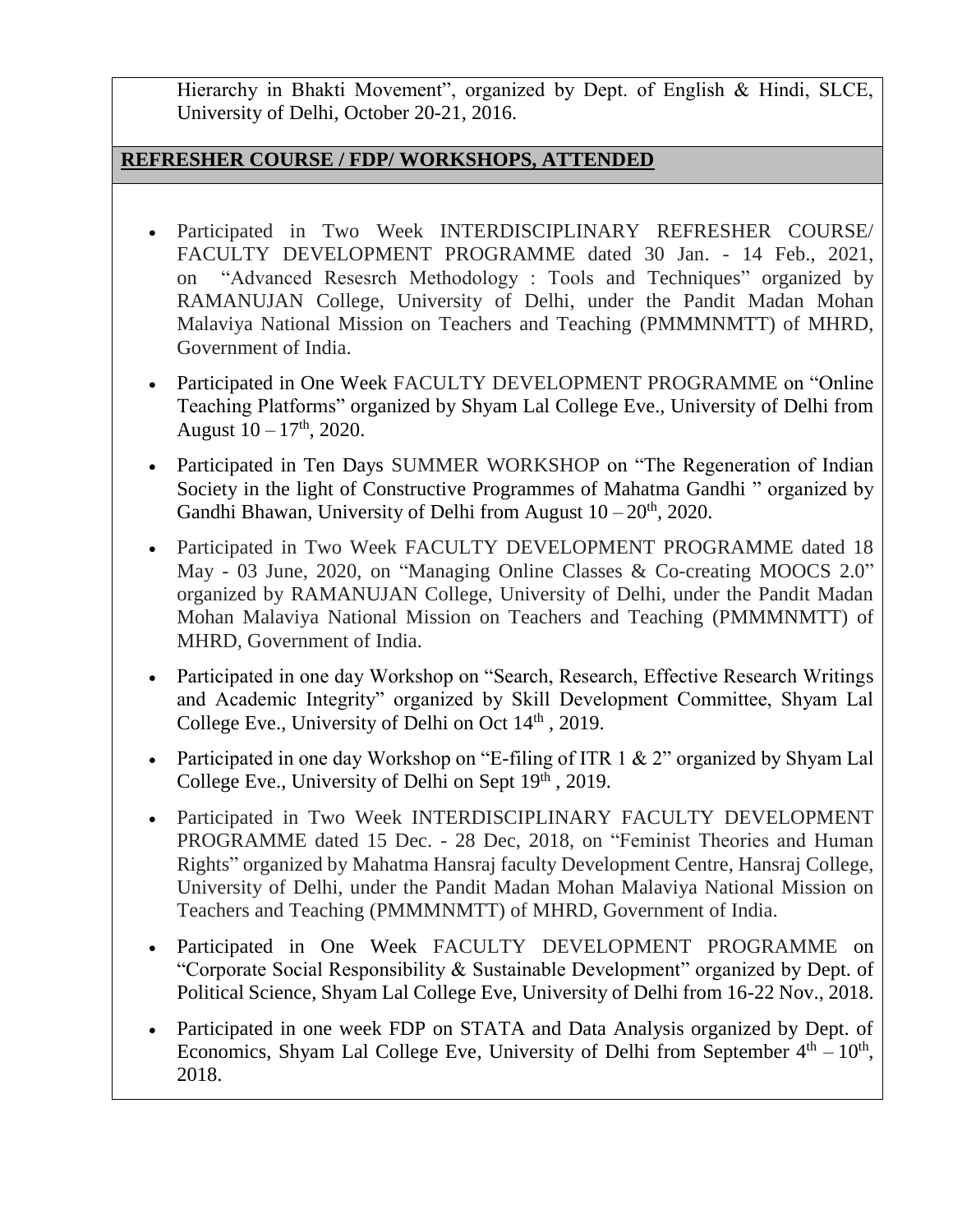Hierarchy in Bhakti Movement", organized by Dept. of English & Hindi, SLCE, University of Delhi, October 20-21, 2016.

# **REFRESHER COURSE / FDP/ WORKSHOPS, ATTENDED**

- Participated in Two Week INTERDISCIPLINARY REFRESHER COURSE/ FACULTY DEVELOPMENT PROGRAMME dated 30 Jan. - 14 Feb., 2021, on "Advanced Resesrch Methodology : Tools and Techniques" organized by RAMANUJAN College, University of Delhi, under the Pandit Madan Mohan Malaviya National Mission on Teachers and Teaching (PMMMNMTT) of MHRD, Government of India.
- Participated in One Week FACULTY DEVELOPMENT PROGRAMME on "Online" Teaching Platforms" organized by Shyam Lal College Eve., University of Delhi from August  $10 - 17$ <sup>th</sup>, 2020.
- Participated in Ten Days SUMMER WORKSHOP on "The Regeneration of Indian Society in the light of Constructive Programmes of Mahatma Gandhi " organized by Gandhi Bhawan, University of Delhi from August  $10-20<sup>th</sup>$ , 2020.
- Participated in Two Week FACULTY DEVELOPMENT PROGRAMME dated 18 May - 03 June, 2020, on "Managing Online Classes & Co-creating MOOCS 2.0" organized by RAMANUJAN College, University of Delhi, under the Pandit Madan Mohan Malaviya National Mission on Teachers and Teaching (PMMMNMTT) of MHRD, Government of India.
- Participated in one day Workshop on "Search, Research, Effective Research Writings and Academic Integrity" organized by Skill Development Committee, Shyam Lal College Eve., University of Delhi on Oct 14<sup>th</sup>, 2019.
- Participated in one day Workshop on "E-filing of ITR 1 & 2" organized by Shyam Lal College Eve., University of Delhi on Sept  $19<sup>th</sup>$ , 2019.
- Participated in Two Week INTERDISCIPLINARY FACULTY DEVELOPMENT PROGRAMME dated 15 Dec. - 28 Dec, 2018, on "Feminist Theories and Human Rights" organized by Mahatma Hansraj faculty Development Centre, Hansraj College, University of Delhi, under the Pandit Madan Mohan Malaviya National Mission on Teachers and Teaching (PMMMNMTT) of MHRD, Government of India.
- Participated in One Week FACULTY DEVELOPMENT PROGRAMME on "Corporate Social Responsibility & Sustainable Development" organized by Dept. of Political Science, Shyam Lal College Eve, University of Delhi from 16-22 Nov., 2018.
- Participated in one week FDP on STATA and Data Analysis organized by Dept. of Economics, Shyam Lal College Eve, University of Delhi from September  $4<sup>th</sup> - 10<sup>th</sup>$ , 2018.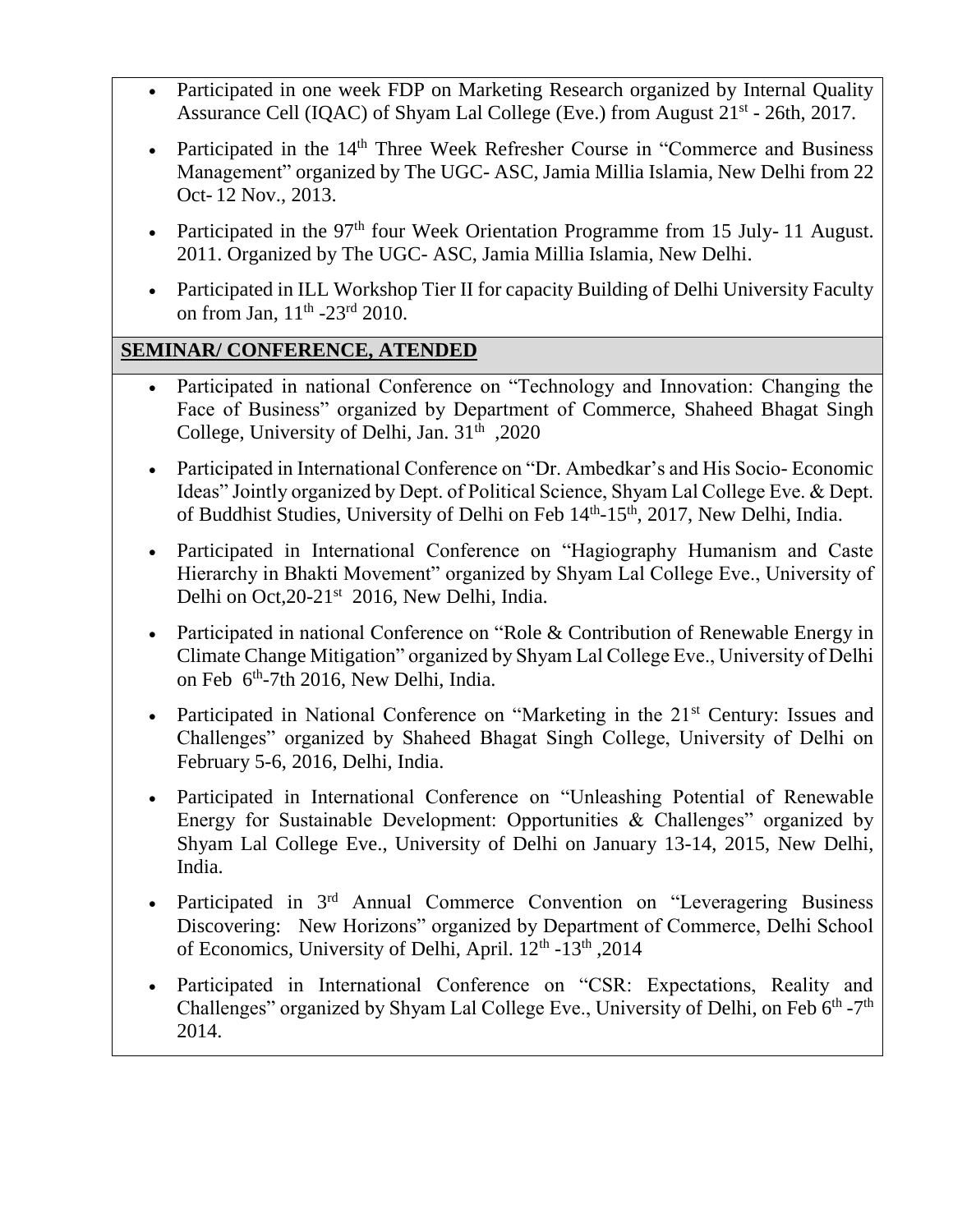- Participated in one week FDP on Marketing Research organized by Internal Quality Assurance Cell (IQAC) of Shyam Lal College (Eve.) from August 21<sup>st</sup> - 26th, 2017.
- Participated in the 14<sup>th</sup> Three Week Refresher Course in "Commerce and Business" Management" organized by The UGC- ASC, Jamia Millia Islamia, New Delhi from 22 Oct- 12 Nov., 2013.
- Participated in the  $97<sup>th</sup>$  four Week Orientation Programme from 15 July-11 August. 2011. Organized by The UGC- ASC, Jamia Millia Islamia, New Delhi.
- Participated in ILL Workshop Tier II for capacity Building of Delhi University Faculty on from Jan, 11<sup>th</sup> -23<sup>rd</sup> 2010.

# **SEMINAR/ CONFERENCE, ATENDED**

- Participated in national Conference on "Technology and Innovation: Changing the Face of Business" organized by Department of Commerce, Shaheed Bhagat Singh College, University of Delhi, Jan. 31<sup>th</sup>, 2020
- Participated in International Conference on "Dr. Ambedkar's and His Socio- Economic Ideas" Jointly organized by Dept. of Political Science, Shyam Lal College Eve. & Dept. of Buddhist Studies, University of Delhi on Feb 14<sup>th</sup>-15<sup>th</sup>, 2017, New Delhi, India.
- Participated in International Conference on "Hagiography Humanism and Caste Hierarchy in Bhakti Movement" organized by Shyam Lal College Eve., University of Delhi on Oct, 20-21<sup>st</sup> 2016, New Delhi, India.
- Participated in national Conference on "Role & Contribution of Renewable Energy in Climate Change Mitigation" organized by Shyam Lal College Eve., University of Delhi on Feb 6<sup>th</sup>-7th 2016, New Delhi, India.
- Participated in National Conference on "Marketing in the  $21<sup>st</sup>$  Century: Issues and Challenges" organized by Shaheed Bhagat Singh College, University of Delhi on February 5-6, 2016, Delhi, India.
- Participated in International Conference on "Unleashing Potential of Renewable Energy for Sustainable Development: Opportunities & Challenges" organized by Shyam Lal College Eve., University of Delhi on January 13-14, 2015, New Delhi, India.
- Participated in 3<sup>rd</sup> Annual Commerce Convention on "Leveragering Business" Discovering: New Horizons" organized by Department of Commerce, Delhi School of Economics, University of Delhi, April. 12<sup>th</sup> -13<sup>th</sup>, 2014
- Participated in International Conference on "CSR: Expectations, Reality and Challenges" organized by Shyam Lal College Eve., University of Delhi, on Feb 6<sup>th</sup> -7<sup>th</sup> 2014.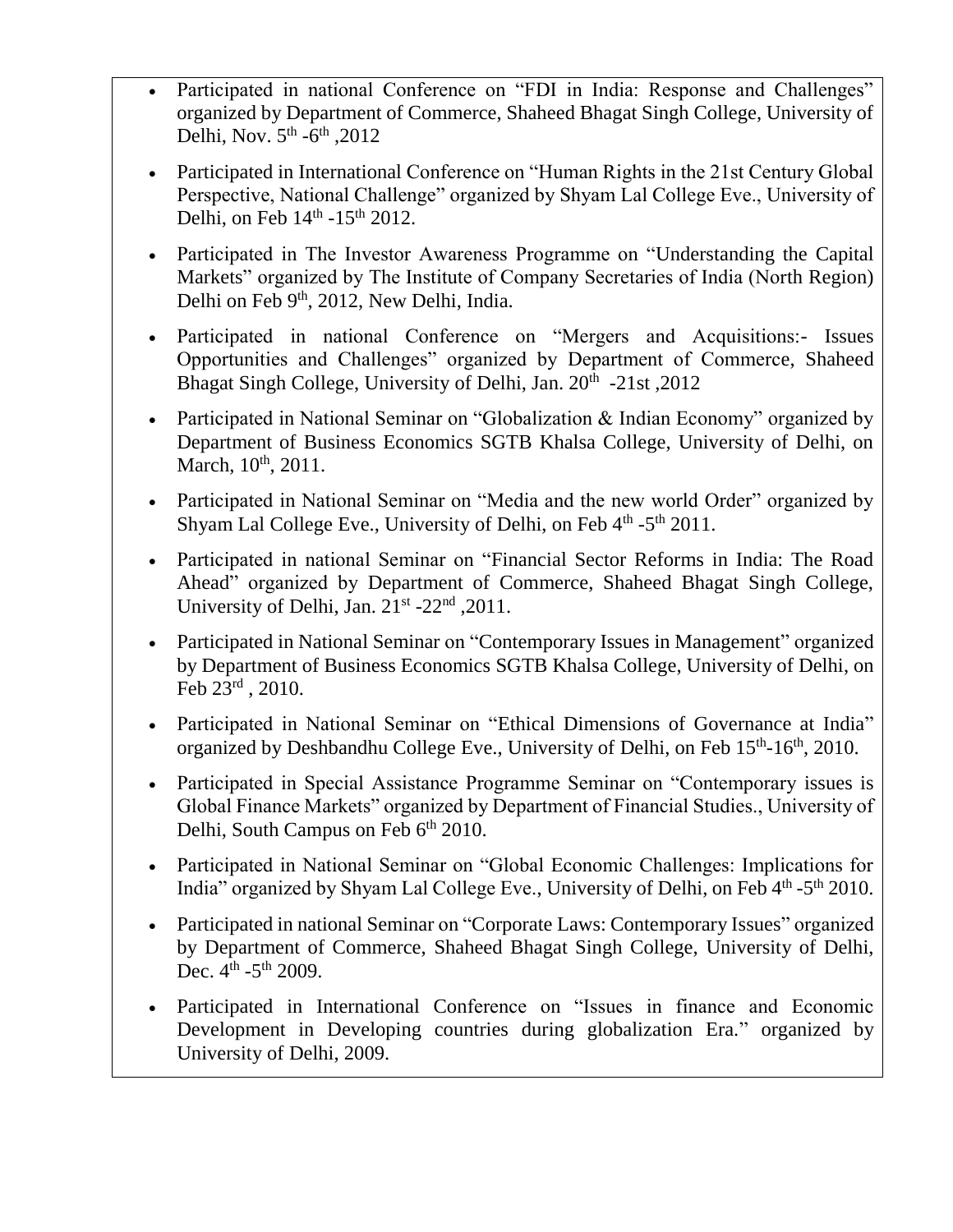- Participated in national Conference on "FDI in India: Response and Challenges" organized by Department of Commerce, Shaheed Bhagat Singh College, University of Delhi, Nov.  $5<sup>th</sup> - 6<sup>th</sup>$ , 2012
- Participated in International Conference on "Human Rights in the 21st Century Global Perspective, National Challenge" organized by Shyam Lal College Eve., University of Delhi, on Feb  $14^{\text{th}}$  -15<sup>th</sup> 2012.
- Participated in The Investor Awareness Programme on "Understanding the Capital Markets" organized by The Institute of Company Secretaries of India (North Region) Delhi on Feb 9<sup>th</sup>, 2012, New Delhi, India.
- Participated in national Conference on "Mergers and Acquisitions:- Issues Opportunities and Challenges" organized by Department of Commerce, Shaheed Bhagat Singh College, University of Delhi, Jan. 20<sup>th</sup> -21st, 2012
- Participated in National Seminar on "Globalization & Indian Economy" organized by Department of Business Economics SGTB Khalsa College, University of Delhi, on March, 10<sup>th</sup>, 2011.
- Participated in National Seminar on "Media and the new world Order" organized by Shyam Lal College Eve., University of Delhi, on Feb  $4^{\text{th}}$  -5<sup>th</sup> 2011.
- Participated in national Seminar on "Financial Sector Reforms in India: The Road Ahead" organized by Department of Commerce, Shaheed Bhagat Singh College, University of Delhi, Jan. 21<sup>st</sup> -22<sup>nd</sup>, 2011.
- Participated in National Seminar on "Contemporary Issues in Management" organized by Department of Business Economics SGTB Khalsa College, University of Delhi, on Feb 23rd , 2010.
- Participated in National Seminar on "Ethical Dimensions of Governance at India" organized by Deshbandhu College Eve., University of Delhi, on Feb 15<sup>th</sup>-16<sup>th</sup>, 2010.
- Participated in Special Assistance Programme Seminar on "Contemporary issues is Global Finance Markets" organized by Department of Financial Studies., University of Delhi, South Campus on Feb 6<sup>th</sup> 2010.
- Participated in National Seminar on "Global Economic Challenges: Implications for India" organized by Shyam Lal College Eve., University of Delhi, on Feb 4th -5th 2010.
- Participated in national Seminar on "Corporate Laws: Contemporary Issues" organized by Department of Commerce, Shaheed Bhagat Singh College, University of Delhi, Dec.  $4^{\text{th}}$  -5<sup>th</sup> 2009.
- Participated in International Conference on "Issues in finance and Economic Development in Developing countries during globalization Era." organized by University of Delhi, 2009.